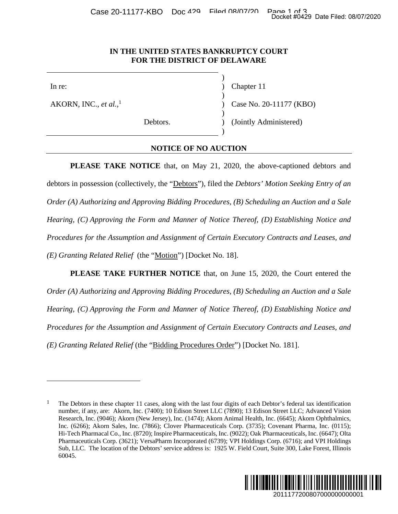#### **IN THE UNITED STATES BANKRUPTCY COURT FOR THE DISTRICT OF DELAWARE**

 $\overline{a}$ 

AKORN, INC., *et al.*, 1

In re: (a) Chapter 11

) Case No. 20-11177 (KBO)

 $\overline{\phantom{a}}$ 

 $\overline{\phantom{a}}$ 

 $\overline{\phantom{a}}$ 

 $\overline{\phantom{a}}$ 

Debtors. (Jointly Administered)

### **NOTICE OF NO AUCTION**

**PLEASE TAKE NOTICE** that, on May 21, 2020, the above-captioned debtors and debtors in possession (collectively, the "Debtors"), filed the *Debtors' Motion Seeking Entry of an Order (A) Authorizing and Approving Bidding Procedures, (B) Scheduling an Auction and a Sale Hearing, (C) Approving the Form and Manner of Notice Thereof, (D) Establishing Notice and Procedures for the Assumption and Assignment of Certain Executory Contracts and Leases, and (E) Granting Related Relief* (the "Motion") [Docket No. 18]. Docket #0429 Date Filed: 08/07/2020<br>
2011177 (KBO)<br>
20111177 (KBO)<br>
20111177 (KBO)<br>
2011<br>
2011 Docketing Entry of an<br>
2011 Docket and Leases, and<br>
2011 Docket and Leases, and<br>
2011 Docket and Leases, and<br>
2011 Docket and L

**PLEASE TAKE FURTHER NOTICE** that, on June 15, 2020, the Court entered the *Order (A) Authorizing and Approving Bidding Procedures, (B) Scheduling an Auction and a Sale Hearing, (C) Approving the Form and Manner of Notice Thereof, (D) Establishing Notice and Procedures for the Assumption and Assignment of Certain Executory Contracts and Leases, and (E) Granting Related Relief* (the "Bidding Procedures Order") [Docket No. 181].

<sup>1</sup> The Debtors in these chapter 11 cases, along with the last four digits of each Debtor's federal tax identification number, if any, are: Akorn, Inc. (7400); 10 Edison Street LLC (7890); 13 Edison Street LLC; Advanced Vision Research, Inc. (9046); Akorn (New Jersey), Inc. (1474); Akorn Animal Health, Inc. (6645); Akorn Ophthalmics, Inc. (6266); Akorn Sales, Inc. (7866); Clover Pharmaceuticals Corp. (3735); Covenant Pharma, Inc. (0115); Hi-Tech Pharmacal Co., Inc. (8720); Inspire Pharmaceuticals, Inc. (9022); Oak Pharmaceuticals, Inc. (6647); Olta Pharmaceuticals Corp. (3621); VersaPharm Incorporated (6739); VPI Holdings Corp. (6716); and VPI Holdings Sub, LLC. The location of the Debtors' service address is: 1925 W. Field Court, Suite 300, Lake Forest, Illinois 60045.

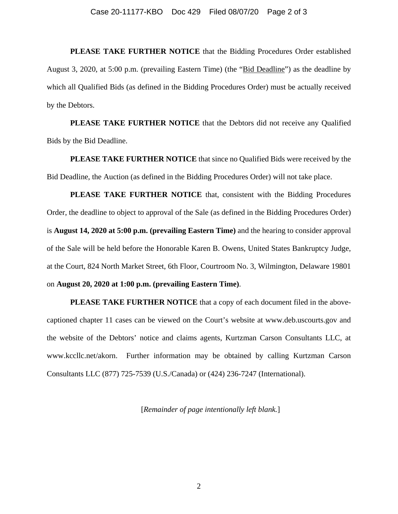**PLEASE TAKE FURTHER NOTICE** that the Bidding Procedures Order established August 3, 2020, at 5:00 p.m. (prevailing Eastern Time) (the "Bid Deadline") as the deadline by which all Qualified Bids (as defined in the Bidding Procedures Order) must be actually received by the Debtors.

**PLEASE TAKE FURTHER NOTICE** that the Debtors did not receive any Qualified Bids by the Bid Deadline.

**PLEASE TAKE FURTHER NOTICE** that since no Qualified Bids were received by the Bid Deadline, the Auction (as defined in the Bidding Procedures Order) will not take place.

**PLEASE TAKE FURTHER NOTICE** that, consistent with the Bidding Procedures Order, the deadline to object to approval of the Sale (as defined in the Bidding Procedures Order) is **August 14, 2020 at 5:00 p.m. (prevailing Eastern Time)** and the hearing to consider approval of the Sale will be held before the Honorable Karen B. Owens, United States Bankruptcy Judge, at the Court, 824 North Market Street, 6th Floor, Courtroom No. 3, Wilmington, Delaware 19801 on **August 20, 2020 at 1:00 p.m. (prevailing Eastern Time)**.

**PLEASE TAKE FURTHER NOTICE** that a copy of each document filed in the abovecaptioned chapter 11 cases can be viewed on the Court's website at www.deb.uscourts.gov and the website of the Debtors' notice and claims agents, Kurtzman Carson Consultants LLC, at www.kccllc.net/akorn. Further information may be obtained by calling Kurtzman Carson Consultants LLC (877) 725-7539 (U.S./Canada) or (424) 236-7247 (International).

[*Remainder of page intentionally left blank.*]